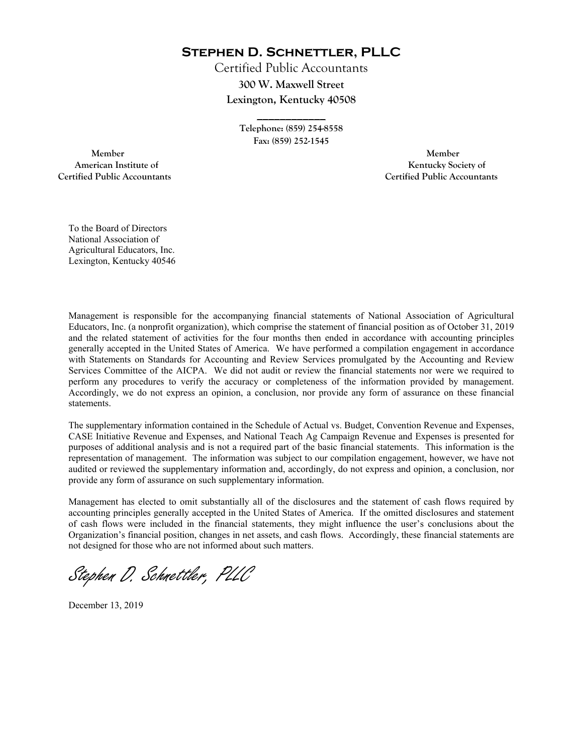**Stephen D. Schnettler, PLLC**

Certified Public Accountants **300 W. Maxwell Street Lexington, Kentucky 40508** 

> **Telephone: (859) 254-8558 Fax: (859) 252-1545**

**\_\_\_\_\_\_\_\_\_\_\_\_** 

 **Member Member Certified Public Accountants Certified Public Accountants** 

American Institute of **Kentucky Society of** 

To the Board of Directors National Association of Agricultural Educators, Inc. Lexington, Kentucky 40546

Management is responsible for the accompanying financial statements of National Association of Agricultural Educators, Inc. (a nonprofit organization), which comprise the statement of financial position as of October 31, 2019 and the related statement of activities for the four months then ended in accordance with accounting principles generally accepted in the United States of America. We have performed a compilation engagement in accordance with Statements on Standards for Accounting and Review Services promulgated by the Accounting and Review Services Committee of the AICPA. We did not audit or review the financial statements nor were we required to perform any procedures to verify the accuracy or completeness of the information provided by management. Accordingly, we do not express an opinion, a conclusion, nor provide any form of assurance on these financial statements.

The supplementary information contained in the Schedule of Actual vs. Budget, Convention Revenue and Expenses, CASE Initiative Revenue and Expenses, and National Teach Ag Campaign Revenue and Expenses is presented for purposes of additional analysis and is not a required part of the basic financial statements. This information is the representation of management. The information was subject to our compilation engagement, however, we have not audited or reviewed the supplementary information and, accordingly, do not express and opinion, a conclusion, nor provide any form of assurance on such supplementary information.

Management has elected to omit substantially all of the disclosures and the statement of cash flows required by accounting principles generally accepted in the United States of America. If the omitted disclosures and statement of cash flows were included in the financial statements, they might influence the user's conclusions about the Organization's financial position, changes in net assets, and cash flows. Accordingly, these financial statements are not designed for those who are not informed about such matters.

Stephen D. Schnettler, PLLC

December 13, 2019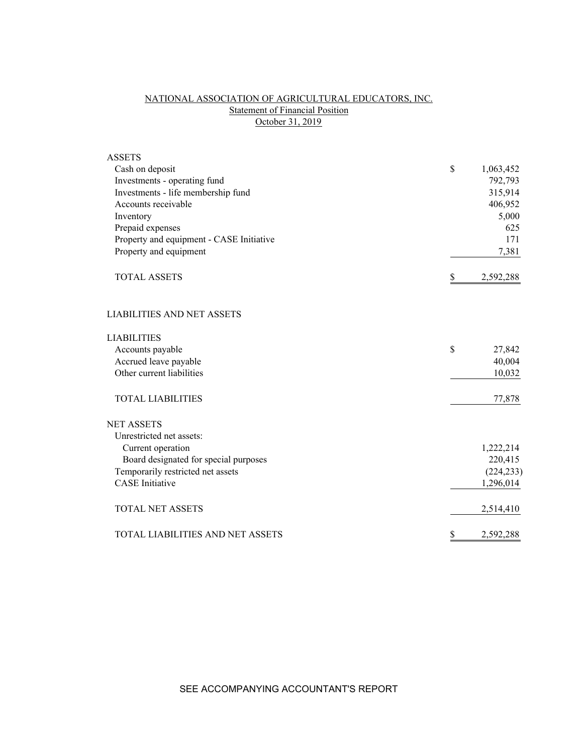# NATIONAL ASSOCIATION OF AGRICULTURAL EDUCATORS, INC. Statement of Financial Position October 31, 2019

| <b>ASSETS</b>                            |                 |
|------------------------------------------|-----------------|
| Cash on deposit                          | \$<br>1,063,452 |
| Investments - operating fund             | 792,793         |
| Investments - life membership fund       | 315,914         |
| Accounts receivable                      | 406,952         |
| Inventory                                | 5,000           |
| Prepaid expenses                         | 625             |
| Property and equipment - CASE Initiative | 171             |
| Property and equipment                   | 7,381           |
| <b>TOTAL ASSETS</b>                      | \$<br>2,592,288 |
| <b>LIABILITIES AND NET ASSETS</b>        |                 |
| <b>LIABILITIES</b>                       |                 |
| Accounts payable                         | \$<br>27,842    |
| Accrued leave payable                    | 40,004          |
| Other current liabilities                | 10,032          |
| <b>TOTAL LIABILITIES</b>                 | 77,878          |
| <b>NET ASSETS</b>                        |                 |
| Unrestricted net assets:                 |                 |
| Current operation                        | 1,222,214       |
| Board designated for special purposes    | 220,415         |
| Temporarily restricted net assets        | (224, 233)      |
| <b>CASE</b> Initiative                   | 1,296,014       |
| <b>TOTAL NET ASSETS</b>                  | 2,514,410       |
| TOTAL LIABILITIES AND NET ASSETS         | \$<br>2,592,288 |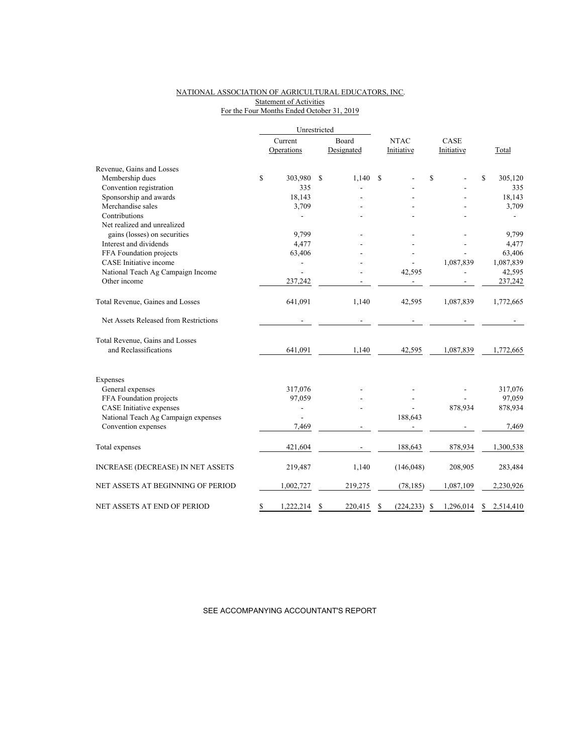## NATIONAL ASSOCIATION OF AGRICULTURAL EDUCATORS, INC. Statement of Activities For the Four Months Ended October 31, 2019

|                                          |                 | Unrestricted |            |                  |                |                |
|------------------------------------------|-----------------|--------------|------------|------------------|----------------|----------------|
|                                          | Current         |              | Board      | <b>NTAC</b>      | CASE           |                |
|                                          | Operations      |              | Designated | Initiative       | Initiative     | Total          |
| Revenue, Gains and Losses                |                 |              |            |                  |                |                |
| Membership dues                          | \$<br>303,980   | \$           | 1,140      | S                | \$             | \$<br>305,120  |
| Convention registration                  | 335             |              |            |                  |                | 335            |
| Sponsorship and awards                   | 18,143          |              |            |                  |                | 18,143         |
| Merchandise sales                        | 3,709           |              |            |                  |                | 3,709          |
| Contributions                            |                 |              |            |                  |                |                |
| Net realized and unrealized              |                 |              |            |                  |                |                |
| gains (losses) on securities             | 9.799           |              |            |                  |                | 9,799          |
| Interest and dividends                   | 4,477           |              |            |                  |                | 4,477          |
| FFA Foundation projects                  | 63,406          |              |            |                  |                | 63,406         |
| CASE Initiative income                   |                 |              |            |                  | 1,087,839      | 1,087,839      |
| National Teach Ag Campaign Income        |                 |              |            | 42,595           |                | 42,595         |
| Other income                             | 237,242         |              |            |                  |                | 237,242        |
| Total Revenue, Gaines and Losses         | 641,091         |              | 1,140      | 42,595           | 1,087,839      | 1,772,665      |
| Net Assets Released from Restrictions    |                 |              |            |                  |                |                |
| Total Revenue, Gains and Losses          |                 |              |            |                  |                |                |
| and Reclassifications                    | 641,091         |              | 1,140      | 42,595           | 1,087,839      | 1,772,665      |
| Expenses                                 |                 |              |            |                  |                |                |
| General expenses                         | 317,076         |              |            |                  |                | 317,076        |
| FFA Foundation projects                  | 97,059          |              |            |                  |                | 97,059         |
| CASE Initiative expenses                 | $\overline{a}$  |              |            |                  | 878,934        | 878,934        |
| National Teach Ag Campaign expenses      |                 |              |            | 188,643          |                |                |
| Convention expenses                      | 7,469           |              |            |                  |                | 7,469          |
| Total expenses                           | 421,604         |              |            | 188,643          | 878,934        | 1,300,538      |
| <b>INCREASE (DECREASE) IN NET ASSETS</b> | 219,487         |              | 1,140      | (146, 048)       | 208,905        | 283,484        |
| NET ASSETS AT BEGINNING OF PERIOD        | 1,002,727       |              | 219,275    | (78, 185)        | 1,087,109      | 2,230,926      |
| NET ASSETS AT END OF PERIOD              | \$<br>1,222,214 | \$           | 220,415    | \$<br>(224, 233) | 1,296,014<br>S | S<br>2,514,410 |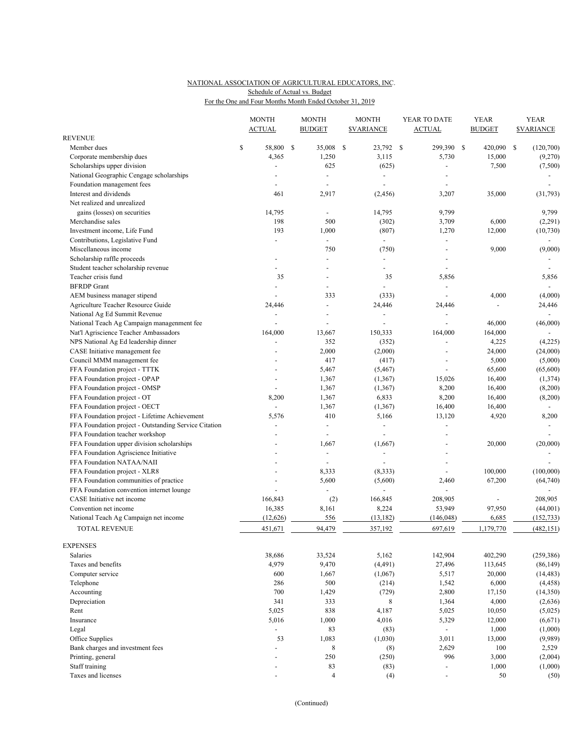## NATIONAL ASSOCIATION OF AGRICULTURAL EDUCATORS, INC. For the One and Four Months Month Ended October 31, 2019 Schedule of Actual vs. Budget

|                                                       |    | <b>MONTH</b><br><b>ACTUAL</b> |      | <b>MONTH</b><br><b>BUDGET</b> | <b>MONTH</b><br><b><i>SVARIANCE</i></b> |                | YEAR TO DATE<br><b>ACTUAL</b> |                          | <b>YEAR</b><br><b>BUDGET</b> |           | <b>YEAR</b><br><b>SVARIANCE</b> |                |
|-------------------------------------------------------|----|-------------------------------|------|-------------------------------|-----------------------------------------|----------------|-------------------------------|--------------------------|------------------------------|-----------|---------------------------------|----------------|
| <b>REVENUE</b>                                        |    |                               |      |                               |                                         |                |                               |                          |                              |           |                                 |                |
| Member dues                                           | \$ | 58,800                        | - \$ | 35,008                        | -S                                      | 23,792 \$      |                               | 299,390                  | \$                           | 420,090   | \$                              | (120,700)      |
| Corporate membership dues                             |    | 4,365                         |      | 1,250                         |                                         | 3,115          |                               | 5,730                    |                              | 15,000    |                                 | (9,270)        |
| Scholarships upper division                           |    |                               |      | 625                           |                                         | (625)          |                               | ÷,                       |                              | 7,500     |                                 | (7,500)        |
| National Geographic Cengage scholarships              |    |                               |      | ÷,                            |                                         | ÷,             |                               |                          |                              |           |                                 |                |
| Foundation management fees                            |    | ÷,                            |      | $\blacksquare$                |                                         | $\overline{a}$ |                               | $\overline{a}$           |                              |           |                                 |                |
| Interest and dividends                                |    | 461                           |      | 2,917                         |                                         | (2, 456)       |                               | 3,207                    |                              | 35,000    |                                 | (31, 793)      |
| Net realized and unrealized                           |    |                               |      |                               |                                         |                |                               |                          |                              |           |                                 |                |
| gains (losses) on securities                          |    | 14,795                        |      |                               |                                         | 14,795         |                               | 9,799                    |                              |           |                                 | 9,799          |
| Merchandise sales                                     |    | 198                           |      | 500                           |                                         | (302)          |                               | 3,709                    |                              | 6,000     |                                 | (2,291)        |
| Investment income, Life Fund                          |    | 193                           |      | 1,000                         |                                         | (807)          |                               | 1,270                    |                              | 12,000    |                                 | (10, 730)      |
| Contributions, Legislative Fund                       |    |                               |      | $\overline{\phantom{a}}$      |                                         | $\blacksquare$ |                               | $\sim$                   |                              |           |                                 | $\sim$         |
| Miscellaneous income                                  |    |                               |      | 750                           |                                         | (750)          |                               | $\overline{a}$           |                              | 9,000     |                                 | (9,000)        |
| Scholarship raffle proceeds                           |    |                               |      |                               |                                         |                |                               |                          |                              |           |                                 |                |
| Student teacher scholarship revenue                   |    |                               |      |                               |                                         |                |                               |                          |                              |           |                                 |                |
| Teacher crisis fund                                   |    | 35                            |      |                               |                                         | 35             |                               | 5,856                    |                              |           |                                 | 5,856          |
| <b>BFRDP</b> Grant                                    |    | $\overline{\phantom{a}}$      |      | $\overline{\phantom{a}}$      |                                         |                |                               | $\overline{\phantom{a}}$ |                              |           |                                 | $\blacksquare$ |
| AEM business manager stipend                          |    |                               |      | 333                           |                                         | (333)          |                               |                          |                              | 4,000     |                                 | (4,000)        |
| Agriculture Teacher Resource Guide                    |    | 24,446                        |      | $\overline{a}$                |                                         | 24,446         |                               | 24,446                   |                              |           |                                 | 24,446         |
| National Ag Ed Summit Revenue                         |    |                               |      |                               |                                         |                |                               |                          |                              |           |                                 | $\overline{a}$ |
| National Teach Ag Campaign managenment fee            |    | $\overline{a}$                |      | ÷,                            |                                         |                |                               |                          |                              | 46,000    |                                 | (46,000)       |
| Nat'l Agriscience Teacher Ambassadors                 |    | 164,000                       |      | 13,667                        |                                         | 150,333        |                               | 164,000                  |                              | 164,000   |                                 |                |
| NPS National Ag Ed leadership dinner                  |    |                               |      | 352                           |                                         | (352)          |                               | ÷,                       |                              | 4,225     |                                 | (4,225)        |
| CASE Initiative management fee                        |    |                               |      | 2,000                         |                                         | (2,000)        |                               | $\sim$                   |                              | 24,000    |                                 | (24,000)       |
| Council MMM management fee                            |    |                               |      | 417                           |                                         | (417)          |                               |                          |                              | 5,000     |                                 | (5,000)        |
| FFA Foundation project - TTTK                         |    |                               |      | 5,467                         |                                         | (5, 467)       |                               | $\sim$                   |                              | 65,600    |                                 | (65,600)       |
|                                                       |    | ÷,                            |      |                               |                                         |                |                               |                          |                              |           |                                 |                |
| FFA Foundation project - OPAP                         |    |                               |      | 1,367                         |                                         | (1, 367)       |                               | 15,026                   |                              | 16,400    |                                 | (1, 374)       |
| FFA Foundation project - OMSP                         |    |                               |      | 1,367                         |                                         | (1, 367)       |                               | 8,200                    |                              | 16,400    |                                 | (8,200)        |
| FFA Foundation project - OT                           |    | 8,200                         |      | 1,367                         |                                         | 6,833          |                               | 8,200                    |                              | 16,400    |                                 | (8,200)        |
| FFA Foundation project - OECT                         |    |                               |      | 1,367                         |                                         | (1, 367)       |                               | 16,400                   |                              | 16,400    |                                 |                |
| FFA Foundation project - Lifetime Achievement         |    | 5,576                         |      | 410                           |                                         | 5,166          |                               | 13,120                   |                              | 4,920     |                                 | 8,200          |
| FFA Foundation project - Outstanding Service Citation |    | $\overline{\phantom{a}}$      |      | $\blacksquare$                |                                         | ÷,             |                               | $\overline{\phantom{a}}$ |                              |           |                                 |                |
| FFA Foundation teacher workshop                       |    |                               |      |                               |                                         |                |                               |                          |                              |           |                                 |                |
| FFA Foundation upper division scholarships            |    |                               |      | 1,667                         |                                         | (1,667)        |                               | $\overline{\phantom{a}}$ |                              | 20,000    |                                 | (20,000)       |
| FFA Foundation Agriscience Initiative                 |    |                               |      | $\overline{\phantom{a}}$      |                                         |                |                               |                          |                              |           |                                 |                |
| FFA Foundation NATAA/NAII                             |    |                               |      | $\sim$                        |                                         |                |                               | ÷,                       |                              |           |                                 |                |
| FFA Foundation project - XLR8                         |    |                               |      | 8,333                         |                                         | (8, 333)       |                               | ÷,                       |                              | 100,000   |                                 | (100,000)      |
| FFA Foundation communities of practice                |    |                               |      | 5,600                         |                                         | (5,600)        |                               | 2,460                    |                              | 67,200    |                                 | (64, 740)      |
| FFA Foundation convention internet lounge             |    |                               |      | $\overline{\phantom{a}}$      |                                         |                |                               | ÷,                       |                              |           |                                 |                |
| CASE Initiative net income                            |    | 166,843                       |      | (2)                           |                                         | 166,845        |                               | 208,905                  |                              |           |                                 | 208,905        |
| Convention net income                                 |    | 16,385                        |      | 8,161                         |                                         | 8,224          |                               | 53,949                   |                              | 97,950    |                                 | (44,001)       |
| National Teach Ag Campaign net income                 |    | (12, 626)                     |      | 556                           |                                         | (13, 182)      |                               | (146, 048)               |                              | 6,685     |                                 | (152, 733)     |
| <b>TOTAL REVENUE</b>                                  |    | 451,671                       |      | 94,479                        |                                         | 357,192        |                               | 697,619                  |                              | 1,179,770 |                                 | (482, 151)     |
| <b>EXPENSES</b>                                       |    |                               |      |                               |                                         |                |                               |                          |                              |           |                                 |                |
| Salaries                                              |    | 38,686                        |      | 33,524                        |                                         | 5,162          |                               | 142,904                  |                              | 402,290   |                                 | (259, 386)     |
| Taxes and benefits                                    |    | 4,979                         |      | 9,470                         |                                         | (4, 491)       |                               | 27,496                   |                              | 113,645   |                                 | (86, 149)      |
| Computer service                                      |    | 600                           |      | 1,667                         |                                         | (1,067)        |                               | 5,517                    |                              | 20,000    |                                 | (14, 483)      |
| Telephone                                             |    | 286                           |      | 500                           |                                         | (214)          |                               | 1,542                    |                              | 6,000     |                                 | (4, 458)       |
| Accounting                                            |    | 700                           |      | 1,429                         |                                         | (729)          |                               | 2,800                    |                              | 17,150    |                                 | (14,350)       |
| Depreciation                                          |    | 341                           |      | 333                           |                                         | 8              |                               | 1,364                    |                              | 4,000     |                                 | (2,636)        |
| Rent                                                  |    | 5,025                         |      | 838                           |                                         | 4,187          |                               | 5,025                    |                              | 10,050    |                                 | (5,025)        |
| Insurance                                             |    | 5,016                         |      | 1,000                         |                                         | 4,016          |                               | 5,329                    |                              |           |                                 | (6, 671)       |
|                                                       |    | $\overline{a}$                |      |                               |                                         |                |                               |                          |                              | 12,000    |                                 |                |
| Legal<br>Office Supplies                              |    | 53                            |      | 83                            |                                         | (83)           |                               | $\sim$                   |                              | 1,000     |                                 | (1,000)        |
|                                                       |    |                               |      | 1,083                         |                                         | (1,030)        |                               | 3,011                    |                              | 13,000    |                                 | (9,989)        |
| Bank charges and investment fees                      |    | $\overline{\phantom{a}}$      |      | 8                             |                                         | (8)            |                               | 2,629                    |                              | 100       |                                 | 2,529          |
| Printing, general                                     |    |                               |      | 250                           |                                         | (250)          |                               | 996                      |                              | 3,000     |                                 | (2,004)        |
| Staff training                                        |    | $\overline{\phantom{a}}$      |      | 83                            |                                         | (83)           |                               | $\overline{\phantom{a}}$ |                              | 1,000     |                                 | (1,000)        |
| Taxes and licenses                                    |    |                               |      | $\overline{4}$                |                                         | (4)            |                               | $\overline{\phantom{a}}$ |                              | 50        |                                 | (50)           |

(Continued)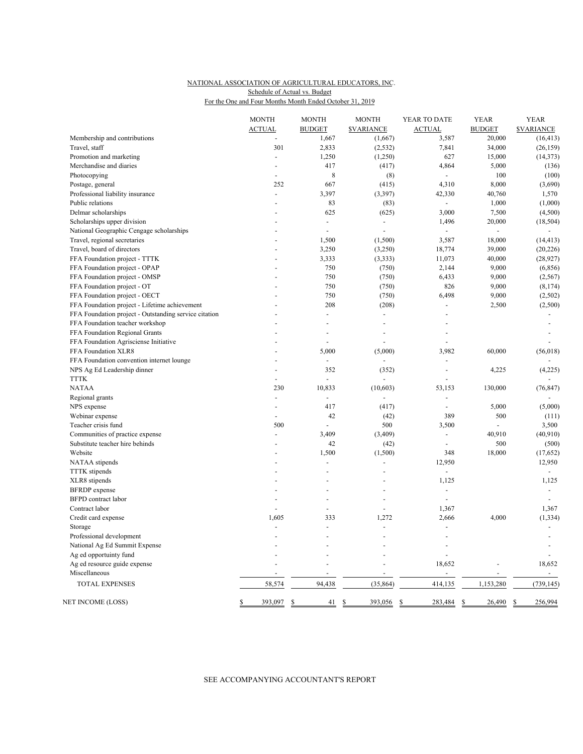## NATIONAL ASSOCIATION OF AGRICULTURAL EDUCATORS, INC. For the One and Four Months Month Ended October 31, 2019 Schedule of Actual vs. Budget

|                                                              | <b>MONTH</b><br><b>ACTUAL</b> | <b>MONTH</b><br><b>BUDGET</b> | <b>MONTH</b><br><b>SVARIANCE</b> | YEAR TO DATE<br><b>ACTUAL</b>              | <b>YEAR</b><br><b>BUDGET</b> | <b>YEAR</b><br><b>SVARIANCE</b>    |
|--------------------------------------------------------------|-------------------------------|-------------------------------|----------------------------------|--------------------------------------------|------------------------------|------------------------------------|
| Membership and contributions                                 |                               | 1,667                         | (1,667)                          | 3,587                                      | 20,000                       | (16, 413)                          |
| Travel, staff                                                | 301                           | 2,833                         | (2, 532)                         | 7,841                                      | 34,000                       | (26, 159)                          |
| Promotion and marketing                                      | ÷.                            | 1,250                         | (1,250)                          | 627                                        | 15,000                       | (14, 373)                          |
| Merchandise and diaries                                      |                               | 417                           | (417)                            | 4,864                                      | 5,000                        | (136)                              |
| Photocopying                                                 | $\overline{a}$                | 8                             | (8)                              | $\Box$                                     | 100                          | (100)                              |
| Postage, general                                             | 252                           | 667                           | (415)                            | 4,310                                      | 8,000                        | (3,690)                            |
| Professional liability insurance                             | ÷.                            | 3,397                         | (3, 397)                         | 42,330                                     | 40,760                       | 1,570                              |
| Public relations                                             | $\overline{a}$                | 83                            | (83)                             | $\blacksquare$                             | 1,000                        | (1,000)                            |
| Delmar scholarships                                          |                               | 625                           | (625)                            | 3,000                                      | 7,500                        | (4,500)                            |
| Scholarships upper division                                  |                               | $\overline{a}$                | $\overline{\phantom{a}}$         | 1,496                                      | 20,000                       | (18, 504)                          |
| National Geographic Cengage scholarships                     |                               | $\overline{a}$                | $\overline{a}$                   |                                            | ÷,                           |                                    |
| Travel, regional secretaries                                 |                               | 1,500                         | (1,500)                          | 3,587                                      | 18,000                       | (14, 413)                          |
| Travel, board of directors                                   |                               | 3,250                         | (3,250)                          | 18,774                                     | 39,000                       | (20, 226)                          |
| FFA Foundation project - TTTK                                |                               | 3,333                         | (3, 333)                         | 11,073                                     | 40,000                       | (28, 927)                          |
| FFA Foundation project - OPAP                                |                               | 750                           | (750)                            | 2,144                                      | 9,000                        | (6, 856)                           |
| FFA Foundation project - OMSP                                |                               | 750                           | (750)                            | 6,433                                      | 9,000                        | (2, 567)                           |
| FFA Foundation project - OT                                  |                               | 750                           | (750)                            | 826                                        | 9,000                        | (8, 174)                           |
| FFA Foundation project - OECT                                |                               | 750                           | (750)                            | 6,498                                      | 9,000                        | (2,502)                            |
| FFA Foundation project - Lifetime achievement                |                               | 208                           | (208)                            |                                            | 2,500                        | (2,500)                            |
| FFA Foundation project - Outstanding service citation        |                               | $\overline{a}$                | $\overline{\phantom{a}}$         | $\overline{a}$                             |                              |                                    |
| FFA Foundation teacher workshop                              |                               |                               | $\overline{a}$                   |                                            |                              |                                    |
| FFA Foundation Regional Grants                               |                               |                               |                                  |                                            |                              |                                    |
|                                                              |                               | $\overline{a}$                |                                  |                                            |                              |                                    |
| FFA Foundation Agrisciense Initiative<br>FFA Foundation XLR8 |                               | 5,000                         | (5,000)                          | 3,982                                      | 60,000                       | (56, 018)                          |
| FFA Foundation convention internet lounge                    |                               |                               |                                  |                                            |                              |                                    |
| NPS Ag Ed Leadership dinner                                  | $\overline{a}$                | 352                           | (352)                            | $\overline{a}$                             | 4,225                        | (4,225)                            |
| <b>TTTK</b>                                                  |                               | $\overline{a}$                | $\overline{a}$                   |                                            |                              |                                    |
| <b>NATAA</b>                                                 | 230                           | 10,833                        | (10, 603)                        | 53,153                                     | 130,000                      | (76, 847)                          |
|                                                              | $\overline{a}$                |                               |                                  |                                            |                              |                                    |
| Regional grants                                              |                               | 417                           |                                  | $\overline{a}$                             |                              |                                    |
| NPS expense                                                  |                               | 42                            | (417)<br>(42)                    | 389                                        | 5,000<br>500                 | (5,000)<br>(111)                   |
| Webinar expense<br>Teacher crisis fund                       | 500                           |                               | 500                              | 3,500                                      |                              | 3,500                              |
| Communities of practice expense                              | ÷.                            | 3,409                         | (3,409)                          | $\overline{\phantom{a}}$                   | 40,910                       | (40, 910)                          |
| Substitute teacher hire behinds                              |                               | 42                            | (42)                             |                                            | 500                          | (500)                              |
| Website                                                      |                               | 1,500                         | (1,500)                          | 348                                        | 18,000                       | (17, 652)                          |
| NATAA stipends                                               |                               |                               |                                  | 12,950                                     |                              | 12,950                             |
|                                                              |                               |                               |                                  | ÷,                                         |                              | $\blacksquare$                     |
| <b>TTTK</b> stipends                                         |                               |                               |                                  |                                            |                              |                                    |
| XLR8 stipends                                                |                               |                               |                                  | 1,125                                      |                              | 1,125                              |
| <b>BFRDP</b> expense                                         |                               |                               |                                  | $\overline{\phantom{a}}$<br>$\overline{a}$ |                              | $\sim$<br>$\overline{\phantom{a}}$ |
| <b>BFPD</b> contract labor                                   |                               |                               | L,                               |                                            |                              |                                    |
| Contract labor                                               |                               | ÷,                            |                                  | 1,367                                      |                              | 1,367                              |
| Credit card expense                                          | 1,605                         | 333                           | 1,272                            | 2,666                                      | 4,000                        | (1, 334)                           |
| Storage                                                      |                               |                               |                                  |                                            |                              |                                    |
| Professional development                                     |                               |                               |                                  |                                            |                              |                                    |
| National Ag Ed Summit Expense                                |                               |                               |                                  |                                            |                              |                                    |
| Ag ed opportuinty fund                                       |                               |                               |                                  | $\overline{a}$                             |                              |                                    |
| Ag ed resource guide expense                                 |                               |                               |                                  | 18,652                                     |                              | 18,652                             |
| Miscellaneous                                                |                               |                               | Ĭ.                               |                                            |                              | $\blacksquare$                     |
| TOTAL EXPENSES                                               | 58,574                        | 94,438                        | (35, 864)                        | 414,135                                    | 1,153,280                    | (739, 145)                         |
| NET INCOME (LOSS)                                            | \$<br>393,097                 | \$<br>41                      | \$<br>393,056                    | $\mathbb{S}$<br>283,484                    | 26,490<br>\$                 | \$<br>256,994                      |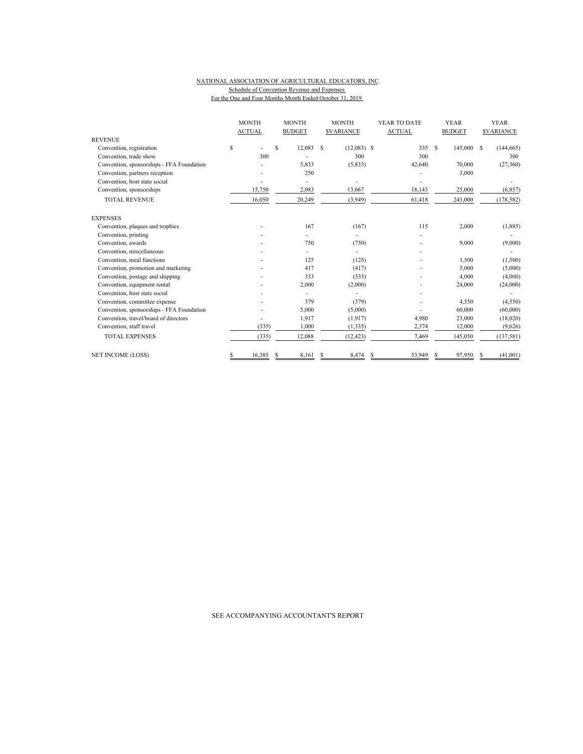#### NATIONAL ASSOCIATION OF AGRICULTURAL EDUCATORS, INC. Schedule of Convention Revenue and Expenses For the One and Four Months Month Ended October 31, 2019

|                                           |    | <b>MONTH</b>  |   | <b>MONTH</b>  |   | <b>MONTH</b>            |               | YEAR TO DATE |               | <b>YEAR</b> |                  | <b>YEAR</b> |  |
|-------------------------------------------|----|---------------|---|---------------|---|-------------------------|---------------|--------------|---------------|-------------|------------------|-------------|--|
|                                           |    | <b>ACTUAL</b> |   | <b>BUDGET</b> |   | <b><i>SVARIANCE</i></b> | <b>ACTUAL</b> |              | <b>BUDGET</b> |             | <b>SVARIANCE</b> |             |  |
| <b>REVENUE</b>                            |    |               |   |               |   |                         |               |              |               |             |                  |             |  |
| Convention, registration                  | \$ |               | S | 12,083        | S | $(12,083)$ \$           |               | 335          | <b>S</b>      | 145,000     | - S              | (144, 665)  |  |
| Convention, trade show                    |    | 300           |   |               |   | 300                     |               | 300          |               |             |                  | 300         |  |
| Convention, sponsorships - FFA Foundation |    |               |   | 5,833         |   | (5,833)                 |               | 42,640       |               | 70,000      |                  | (27,360)    |  |
| Convention, partners reception            |    |               |   | 250           |   |                         |               |              |               | 3,000       |                  |             |  |
| Convention, host state social             |    |               |   |               |   |                         |               |              |               |             |                  |             |  |
| Convention, sponsorships                  |    | 15,750        |   | 2,083         |   | 13,667                  |               | 18,143       |               | 25,000      |                  | (6, 857)    |  |
| <b>TOTAL REVENUE</b>                      |    | 16,050        |   | 20,249        |   | (3,949)                 |               | 61,418       |               | 243,000     |                  | (178, 582)  |  |
| <b>EXPENSES</b>                           |    |               |   |               |   |                         |               |              |               |             |                  |             |  |
| Convention, plaques and trophies          |    |               |   | 167           |   | (167)                   |               | 115          |               | 2,000       |                  | (1,885)     |  |
| Convention, printing                      |    |               |   |               |   |                         |               |              |               |             |                  |             |  |
| Convention, awards                        |    |               |   | 750           |   | (750)                   |               |              |               | 9,000       |                  | (9,000)     |  |
| Convention, miscellaneous                 |    |               |   |               |   |                         |               |              |               |             |                  |             |  |
| Convention, meal functions                |    |               |   | 125           |   | (125)                   |               |              |               | 1,500       |                  | (1,500)     |  |
| Convention, promotion and marketing       |    |               |   | 417           |   | (417)                   |               |              |               | 5,000       |                  | (5,000)     |  |
| Convention, postage and shipping          |    |               |   | 333           |   | (333)                   |               |              |               | 4,000       |                  | (4,000)     |  |
| Convention, equipment rental              |    |               |   | 2,000         |   | (2,000)                 |               |              |               | 24,000      |                  | (24,000)    |  |
| Convention, host state social             |    |               |   |               |   |                         |               |              |               |             |                  |             |  |
| Convention, committee expense             |    |               |   | 379           |   | (379)                   |               |              |               | 4,550       |                  | (4,550)     |  |
| Convention, sponsorships - FFA Foundation |    |               |   | 5,000         |   | (5,000)                 |               |              |               | 60,000      |                  | (60,000)    |  |
| Convention, travel/board of directors     |    |               |   | 1,917         |   | (1, 917)                |               | 4,980        |               | 23,000      |                  | (18,020)    |  |
| Convention, staff travel                  |    | (335)         |   | 1.000         |   | (1, 335)                |               | 2,374        |               | 12,000      |                  | (9,626)     |  |
| <b>TOTAL EXPENSES</b>                     |    | (335)         |   | 12,088        |   | (12, 423)               |               | 7,469        |               | 145,050     |                  | (137, 581)  |  |
| <b>NET INCOME (LOSS)</b>                  | S  | 16,385        | S | 8.161         | S | 8,474                   |               | 53.949       | S             | 97,950      |                  | (41,001)    |  |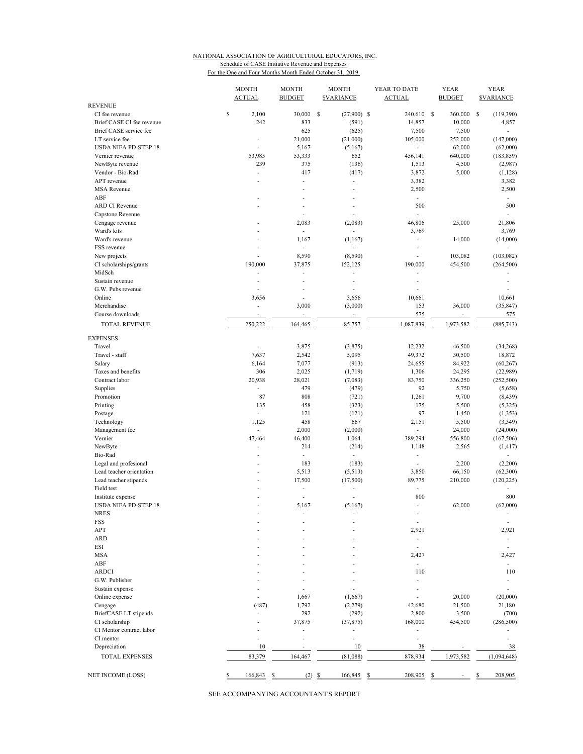## NATIONAL ASSOCIATION OF AGRICULTURAL EDUCATORS, INC. Schedule of CASE Initiative Revenue and Expenses

For the One and Four Months Month Ended October 31, 2019

|                             | <b>MONTH</b><br><b>ACTUAL</b> | <b>MONTH</b><br><b>BUDGET</b> | <b>MONTH</b><br><b><i>SVARIANCE</i></b> | YEAR TO DATE<br><b>ACTUAL</b> | <b>YEAR</b><br><b>BUDGET</b> | <b>YEAR</b><br><b><i>SVARIANCE</i></b> |
|-----------------------------|-------------------------------|-------------------------------|-----------------------------------------|-------------------------------|------------------------------|----------------------------------------|
| <b>REVENUE</b>              |                               |                               |                                         |                               |                              |                                        |
| CI fee revenue              | \$<br>2,100                   | 30,000                        | S<br>$(27,900)$ \$                      | 240,610 \$                    | 360,000                      | -S<br>(119,390)                        |
| Brief CASE CI fee revenue   | 242                           | 833                           | (591)                                   | 14,857                        | 10,000                       | 4,857                                  |
| Brief CASE service fee      |                               | 625                           | (625)                                   | 7,500                         | 7,500                        | $\sim$                                 |
| LT service fee              | ÷,                            | 21,000                        | (21,000)                                | 105,000                       | 252,000                      | (147,000)                              |
| <b>USDA NIFA PD-STEP 18</b> |                               | 5,167                         | (5,167)                                 | ٠                             | 62,000                       | (62,000)                               |
| Vernier revenue             | 53,985                        | 53,333                        | 652                                     | 456,141                       | 640,000                      | (183, 859)                             |
| NewByte revenue             | 239                           | 375                           | (136)                                   | 1,513                         | 4,500                        | (2,987)                                |
| Vendor - Bio-Rad            | ÷,                            | 417                           | (417)                                   | 3,872                         | 5,000                        | (1,128)                                |
| APT revenue                 |                               | ÷,                            | $\overline{\phantom{a}}$                | 3,382                         |                              | 3,382                                  |
| <b>MSA Revenue</b>          |                               | ÷.                            | $\overline{a}$                          | 2,500                         |                              | 2,500                                  |
| ABF                         |                               | ÷.                            |                                         | L.                            |                              | ÷                                      |
| <b>ARD CI Revenue</b>       |                               | ÷.                            |                                         | 500                           |                              | 500                                    |
| Capstone Revenue            |                               | ÷,                            |                                         | L,                            |                              | ÷.                                     |
| Cengage revenue             |                               | 2,083                         | (2,083)                                 | 46,806                        | 25,000                       | 21,806                                 |
| Ward's kits                 |                               | $\overline{\phantom{a}}$      |                                         | 3,769                         |                              | 3,769                                  |
| Ward's revenue              | ÷                             | 1,167                         | (1, 167)                                | ٠                             | 14,000                       | (14,000)                               |
| FSS revenue                 | ٠                             | $\overline{\phantom{a}}$      |                                         | ÷,                            |                              | $\overline{\phantom{a}}$               |
| New projects                |                               | 8,590                         | (8,590)                                 | ä,                            | 103,082                      | (103, 082)                             |
| CI scholarships/grants      | 190,000                       | 37,875                        | 152,125                                 | 190,000                       | 454,500                      | (264, 500)                             |
| MidSch                      |                               | ä,                            | ÷,                                      | L                             |                              |                                        |
| Sustain revenue             |                               | ÷,                            |                                         |                               |                              |                                        |
| G.W. Pubs revenue           | ä,                            | Ĭ.                            |                                         | L.                            |                              |                                        |
| Online                      | 3,656                         | ÷                             | 3,656                                   | 10,661                        |                              | 10,661                                 |
| Merchandise                 | ä,                            | 3,000                         | (3,000)                                 | 153                           | 36,000                       | (35, 847)                              |
| Course downloads            |                               | ÷,                            |                                         | 575                           | ÷,                           | 575                                    |
| <b>TOTAL REVENUE</b>        | 250,222                       | 164,465                       | 85,757                                  | 1,087,839                     | 1,973,582                    | (885, 743)                             |
|                             |                               |                               |                                         |                               |                              |                                        |
| <b>EXPENSES</b>             |                               |                               |                                         |                               |                              |                                        |
| Travel                      | ÷,                            | 3,875                         | (3,875)                                 | 12,232                        | 46,500                       | (34,268)                               |
| Travel - staff              | 7,637                         | 2,542                         | 5,095                                   | 49,372                        | 30,500                       | 18,872                                 |
| Salary                      | 6,164                         | 7,077                         | (913)                                   | 24,655                        | 84,922                       | (60, 267)                              |
| Taxes and benefits          | 306                           | 2,025                         | (1,719)                                 | 1,306                         | 24,295                       | (22,989)                               |
| Contract labor              | 20,938                        | 28,021                        | (7,083)                                 | 83,750                        | 336,250                      | (252, 500)                             |
| Supplies                    | ÷                             | 479                           | (479)                                   | 92                            | 5,750                        | (5,658)                                |
| Promotion                   | 87                            | 808                           | (721)                                   | 1,261                         | 9,700                        | (8, 439)                               |
| Printing                    | 135                           | 458                           | (323)                                   | 175                           | 5,500                        | (5, 325)                               |
| Postage                     | ÷                             | 121                           | (121)                                   | 97                            | 1,450                        | (1, 353)                               |
| Technology                  | 1,125                         | 458                           | 667                                     | 2,151                         | 5,500                        | (3, 349)                               |
| Management fee              | ÷                             | 2,000                         | (2,000)                                 | L.                            | 24,000                       | (24,000)                               |
| Vernier                     | 47,464                        | 46,400                        | 1,064                                   | 389,294                       | 556,800                      | (167, 506)                             |
| NewByte                     | ÷,                            | 214                           | (214)                                   | 1,148                         | 2,565                        | (1, 417)                               |
| Bio-Rad                     | ÷,                            | ÷,                            | $\blacksquare$                          | $\frac{1}{2}$                 |                              |                                        |
| Legal and profesional       | ÷                             | 183                           | (183)                                   | L.                            | 2,200                        | (2,200)                                |
| Lead teacher orientation    |                               | 5,513                         | (5,513)                                 | 3,850                         | 66,150                       | (62, 300)                              |
| Lead teacher stipends       |                               | 17,500                        | (17,500)                                | 89,775                        | 210,000                      | (120, 225)                             |
| Field test                  |                               | ÷                             |                                         | ÷,                            |                              |                                        |
| Institute expense           |                               | ÷,                            |                                         | 800                           |                              | 800                                    |
| <b>USDA NIFA PD-STEP 18</b> |                               | 5,167                         | (5,167)                                 | L,                            | 62,000                       | (62,000)                               |
| NRES                        |                               |                               |                                         |                               |                              |                                        |
| FSS                         |                               |                               |                                         | $\overline{a}$                |                              | $\overline{\phantom{a}}$               |
| APT                         |                               |                               |                                         | 2,921                         |                              | 2,921                                  |
| <b>ARD</b>                  |                               |                               |                                         | ÷                             |                              | ÷,                                     |
| ESI                         |                               |                               |                                         |                               |                              |                                        |
| <b>MSA</b>                  |                               |                               |                                         | 2,427                         |                              | 2,427                                  |
| ABF                         |                               |                               |                                         | ÷,                            |                              | $\overline{\phantom{a}}$               |
| <b>ARDCI</b>                |                               |                               |                                         | 110                           |                              | 110                                    |
| G.W. Publisher              |                               |                               |                                         | L.                            |                              | ÷.                                     |
|                             |                               |                               |                                         |                               |                              | ä,                                     |
| Sustain expense             |                               |                               |                                         |                               |                              |                                        |
| Online expense              |                               | 1,667                         | (1,667)                                 |                               | 20,000                       | (20,000)                               |
| Cengage                     | (487)                         | 1,792                         | (2,279)                                 | 42,680                        | 21,500                       | 21,180                                 |
| BriefCASE LT stipends       |                               | 292                           | (292)                                   | 2,800                         | 3,500                        | (700)                                  |
| CI scholarship              |                               | 37,875                        | (37, 875)                               | 168,000                       | 454,500                      | (286, 500)                             |
| CI Mentor contract labor    |                               | ä,                            |                                         | ä,                            |                              |                                        |
| CI mentor                   |                               | ٠                             | $\overline{\phantom{a}}$                | ä,                            |                              |                                        |
| Depreciation                | 10                            | ÷,                            | 10                                      | 38                            | $\overline{\phantom{a}}$     | 38                                     |
| <b>TOTAL EXPENSES</b>       | 83,379                        | 164,467                       | (81,088)                                | 878,934                       | 1,973,582                    | (1,094,648)                            |
| NET INCOME (LOSS)           | \$<br>166,843                 | \$                            | $(2)$ \$<br>166,845                     | 208,905<br>\$                 | S                            | \$<br>208,905                          |
|                             |                               |                               |                                         |                               |                              |                                        |